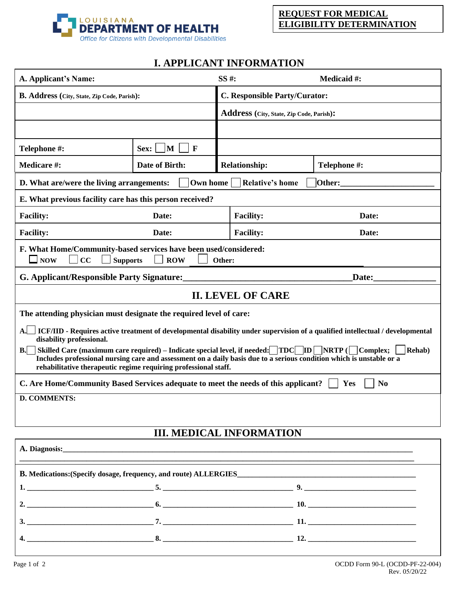

## **I. APPLICANT INFORMATION**

| A. Applicant's Name:                                                                                                                                                                                                                                                                                                                                                          |                                        | SS #:                                    |                      | <b>Medicaid #:</b> |  |
|-------------------------------------------------------------------------------------------------------------------------------------------------------------------------------------------------------------------------------------------------------------------------------------------------------------------------------------------------------------------------------|----------------------------------------|------------------------------------------|----------------------|--------------------|--|
| <b>B. Address (City, State, Zip Code, Parish):</b>                                                                                                                                                                                                                                                                                                                            |                                        | C. Responsible Party/Curator:            |                      |                    |  |
|                                                                                                                                                                                                                                                                                                                                                                               |                                        | Address (City, State, Zip Code, Parish): |                      |                    |  |
|                                                                                                                                                                                                                                                                                                                                                                               |                                        |                                          |                      |                    |  |
| Telephone #:                                                                                                                                                                                                                                                                                                                                                                  | $\vert M \vert$<br>$\mathbf F$<br>Sex: |                                          |                      |                    |  |
| <b>Medicare #:</b>                                                                                                                                                                                                                                                                                                                                                            | Date of Birth:                         |                                          | <b>Relationship:</b> | Telephone #:       |  |
| D. What are/were the living arrangements:<br>Own home<br><b>Relative's home</b><br>Other:                                                                                                                                                                                                                                                                                     |                                        |                                          |                      |                    |  |
| E. What previous facility care has this person received?                                                                                                                                                                                                                                                                                                                      |                                        |                                          |                      |                    |  |
| <b>Facility:</b><br>Date:                                                                                                                                                                                                                                                                                                                                                     |                                        |                                          | <b>Facility:</b>     | Date:              |  |
| <b>Facility:</b>                                                                                                                                                                                                                                                                                                                                                              | Date:                                  |                                          | <b>Facility:</b>     | Date:              |  |
| F. What Home/Community-based services have been used/considered:<br>$\square$ NOW<br>CC<br><b>Supports</b><br><b>ROW</b><br>Other:                                                                                                                                                                                                                                            |                                        |                                          |                      |                    |  |
| <b>G. Applicant/Responsible Party Signature:</b>                                                                                                                                                                                                                                                                                                                              |                                        |                                          |                      | Date:              |  |
| <b>II. LEVEL OF CARE</b>                                                                                                                                                                                                                                                                                                                                                      |                                        |                                          |                      |                    |  |
| The attending physician must designate the required level of care:                                                                                                                                                                                                                                                                                                            |                                        |                                          |                      |                    |  |
| A. ICF/IID - Requires active treatment of developmental disability under supervision of a qualified intellectual / developmental<br>disability professional.                                                                                                                                                                                                                  |                                        |                                          |                      |                    |  |
| B. Skilled Care (maximum care required) – Indicate special level, if needed: $\boxed{\text{TDC}}$ $\boxed{\text{ID}}$ $\boxed{\text{NRTP}}$ ( $\boxed{\text{Complex}}$ ;<br>Rehab)<br>Includes professional nursing care and assessment on a daily basis due to a serious condition which is unstable or a<br>rehabilitative therapeutic regime requiring professional staff. |                                        |                                          |                      |                    |  |
| C. Are Home/Community Based Services adequate to meet the needs of this applicant?<br>Yes<br>N <sub>0</sub>                                                                                                                                                                                                                                                                   |                                        |                                          |                      |                    |  |
| <b>D. COMMENTS:</b>                                                                                                                                                                                                                                                                                                                                                           |                                        |                                          |                      |                    |  |
|                                                                                                                                                                                                                                                                                                                                                                               |                                        |                                          |                      |                    |  |
| <b>III. MEDICAL INFORMATION</b>                                                                                                                                                                                                                                                                                                                                               |                                        |                                          |                      |                    |  |
| A. Diagnosis: <u>and a second contract and a second contract of the second contract of the second contract of the second contract of the second contract of the second contract of the second contract of the second contract of</u>                                                                                                                                          |                                        |                                          |                      |                    |  |
| B. Medications: (Specify dosage, frequency, and route) ALLERGIES                                                                                                                                                                                                                                                                                                              |                                        |                                          |                      |                    |  |
|                                                                                                                                                                                                                                                                                                                                                                               |                                        |                                          |                      |                    |  |
|                                                                                                                                                                                                                                                                                                                                                                               |                                        |                                          |                      |                    |  |
|                                                                                                                                                                                                                                                                                                                                                                               |                                        |                                          |                      |                    |  |
|                                                                                                                                                                                                                                                                                                                                                                               |                                        |                                          |                      |                    |  |
|                                                                                                                                                                                                                                                                                                                                                                               |                                        |                                          |                      |                    |  |